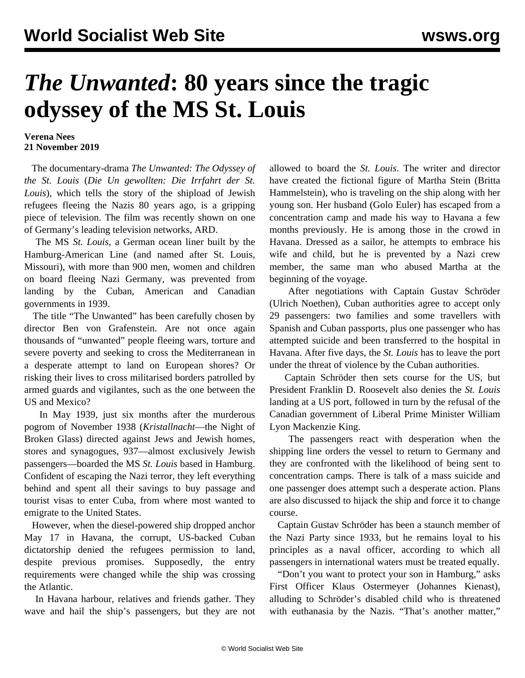## *The Unwanted***: 80 years since the tragic odyssey of the MS St. Louis**

## **Verena Nees 21 November 2019**

 The documentary-drama *The Unwanted: The Odyssey of the St. Louis* (*Die Un gewollten: Die Irrfahrt der St. Louis*), which tells the story of the shipload of Jewish refugees fleeing the Nazis 80 years ago, is a gripping piece of television. The film was recently shown on one of Germany's leading television networks, ARD.

 The MS *St. Louis*, a German ocean liner built by the Hamburg-American Line (and named after St. Louis, Missouri), with more than 900 men, women and children on board fleeing Nazi Germany, was prevented from landing by the Cuban, American and Canadian governments in 1939.

 The title "The Unwanted" has been carefully chosen by director Ben von Grafenstein. Are not once again thousands of "unwanted" people fleeing wars, torture and severe poverty and seeking to cross the Mediterranean in a desperate attempt to land on European shores? Or risking their lives to cross militarised borders patrolled by armed guards and vigilantes, such as the one between the US and Mexico?

 In May 1939, just six months after the murderous pogrom of November 1938 (*Kristallnacht*—the Night of Broken Glass) directed against Jews and Jewish homes, stores and synagogues, 937—almost exclusively Jewish passengers—boarded the MS *St. Louis* based in Hamburg. Confident of escaping the Nazi terror, they left everything behind and spent all their savings to buy passage and tourist visas to enter Cuba, from where most wanted to emigrate to the United States.

 However, when the diesel-powered ship dropped anchor May 17 in Havana, the corrupt, US-backed Cuban dictatorship denied the refugees permission to land, despite previous promises. Supposedly, the entry requirements were changed while the ship was crossing the Atlantic.

 In Havana harbour, relatives and friends gather. They wave and hail the ship's passengers, but they are not allowed to board the *St. Louis*. The writer and director have created the fictional figure of Martha Stein (Britta Hammelstein), who is traveling on the ship along with her young son. Her husband (Golo Euler) has escaped from a concentration camp and made his way to Havana a few months previously. He is among those in the crowd in Havana. Dressed as a sailor, he attempts to embrace his wife and child, but he is prevented by a Nazi crew member, the same man who abused Martha at the beginning of the voyage.

 After negotiations with Captain Gustav Schröder (Ulrich Noethen), Cuban authorities agree to accept only 29 passengers: two families and some travellers with Spanish and Cuban passports, plus one passenger who has attempted suicide and been transferred to the hospital in Havana. After five days, the *St. Louis* has to leave the port under the threat of violence by the Cuban authorities.

 Captain Schröder then sets course for the US, but President Franklin D. Roosevelt also denies the *St. Louis* landing at a US port, followed in turn by the refusal of the Canadian government of Liberal Prime Minister William Lyon Mackenzie King.

 The passengers react with desperation when the shipping line orders the vessel to return to Germany and they are confronted with the likelihood of being sent to concentration camps. There is talk of a mass suicide and one passenger does attempt such a desperate action. Plans are also discussed to hijack the ship and force it to change course.

 Captain Gustav Schröder has been a staunch member of the Nazi Party since 1933, but he remains loyal to his principles as a naval officer, according to which all passengers in international waters must be treated equally.

 "Don't you want to protect your son in Hamburg," asks First Officer Klaus Ostermeyer (Johannes Kienast), alluding to Schröder's disabled child who is threatened with euthanasia by the Nazis. "That's another matter,"